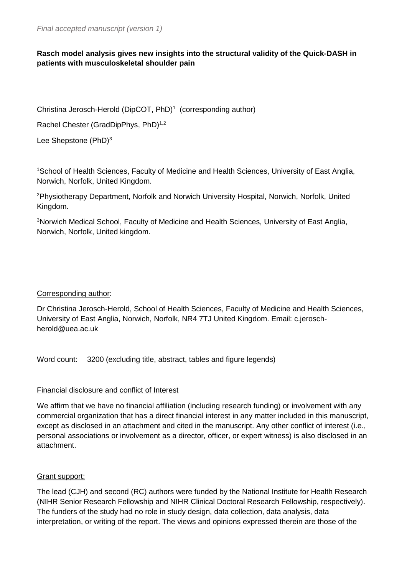# **Rasch model analysis gives new insights into the structural validity of the Quick-DASH in patients with musculoskeletal shoulder pain**

Christina Jerosch-Herold (DipCOT, PhD)<sup>1</sup> (corresponding author)

Rachel Chester (GradDipPhys, PhD)<sup>1,2</sup>

Lee Shepstone (PhD)<sup>3</sup>

<sup>1</sup>School of Health Sciences, Faculty of Medicine and Health Sciences, University of East Anglia, Norwich, Norfolk, United Kingdom.

<sup>2</sup>Physiotherapy Department, Norfolk and Norwich University Hospital, Norwich, Norfolk, United Kingdom.

<sup>3</sup>Norwich Medical School, Faculty of Medicine and Health Sciences, University of East Anglia, Norwich, Norfolk, United kingdom.

# Corresponding author:

Dr Christina Jerosch-Herold, School of Health Sciences, Faculty of Medicine and Health Sciences, University of East Anglia, Norwich, Norfolk, NR4 7TJ United Kingdom. Email: c.jeroschherold@uea.ac.uk

Word count: 3200 (excluding title, abstract, tables and figure legends)

# Financial disclosure and conflict of Interest

We affirm that we have no financial affiliation (including research funding) or involvement with any commercial organization that has a direct financial interest in any matter included in this manuscript, except as disclosed in an attachment and cited in the manuscript. Any other conflict of interest (i.e., personal associations or involvement as a director, officer, or expert witness) is also disclosed in an attachment.

# Grant support:

The lead (CJH) and second (RC) authors were funded by the National Institute for Health Research (NIHR Senior Research Fellowship and NIHR Clinical Doctoral Research Fellowship, respectively). The funders of the study had no role in study design, data collection, data analysis, data interpretation, or writing of the report. The views and opinions expressed therein are those of the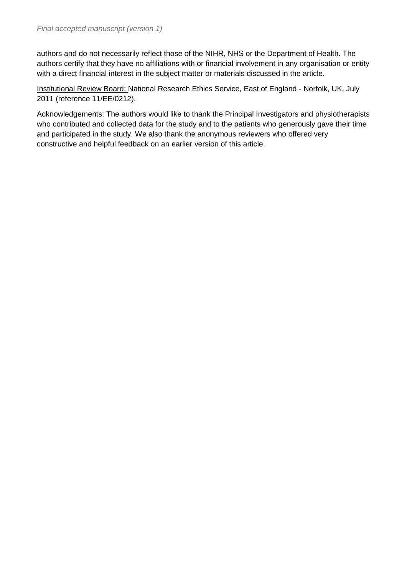authors and do not necessarily reflect those of the NIHR, NHS or the Department of Health. The authors certify that they have no affiliations with or financial involvement in any organisation or entity with a direct financial interest in the subject matter or materials discussed in the article.

Institutional Review Board: National Research Ethics Service, East of England - Norfolk, UK, July 2011 (reference 11/EE/0212).

Acknowledgements: The authors would like to thank the Principal Investigators and physiotherapists who contributed and collected data for the study and to the patients who generously gave their time and participated in the study. We also thank the anonymous reviewers who offered very constructive and helpful feedback on an earlier version of this article.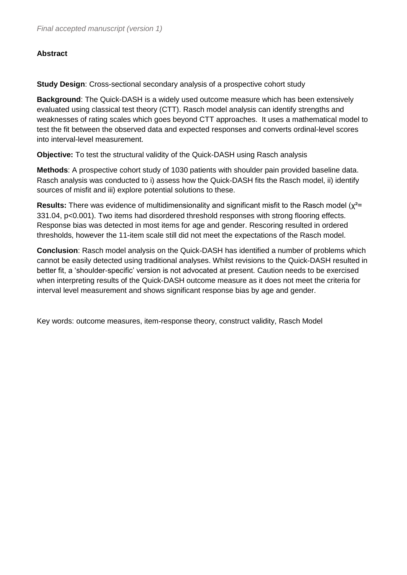# **Abstract**

**Study Design**: Cross-sectional secondary analysis of a prospective cohort study

**Background**: The Quick-DASH is a widely used outcome measure which has been extensively evaluated using classical test theory (CTT). Rasch model analysis can identify strengths and weaknesses of rating scales which goes beyond CTT approaches. It uses a mathematical model to test the fit between the observed data and expected responses and converts ordinal-level scores into interval-level measurement.

**Objective:** To test the structural validity of the Quick-DASH using Rasch analysis

**Methods**: A prospective cohort study of 1030 patients with shoulder pain provided baseline data. Rasch analysis was conducted to i) assess how the Quick-DASH fits the Rasch model, ii) identify sources of misfit and iii) explore potential solutions to these.

**Results:** There was evidence of multidimensionality and significant misfit to the Rasch model (χ²= 331.04, p<0.001). Two items had disordered threshold responses with strong flooring effects. Response bias was detected in most items for age and gender. Rescoring resulted in ordered thresholds, however the 11-item scale still did not meet the expectations of the Rasch model.

**Conclusion**: Rasch model analysis on the Quick-DASH has identified a number of problems which cannot be easily detected using traditional analyses. Whilst revisions to the Quick-DASH resulted in better fit, a 'shoulder-specific' version is not advocated at present. Caution needs to be exercised when interpreting results of the Quick-DASH outcome measure as it does not meet the criteria for interval level measurement and shows significant response bias by age and gender.

Key words: outcome measures, item-response theory, construct validity, Rasch Model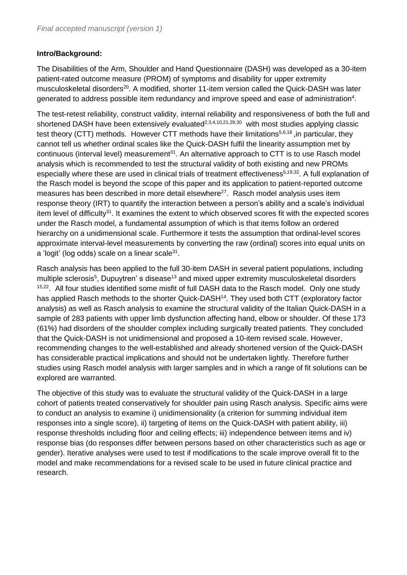# **Intro/Background:**

The Disabilities of the Arm, Shoulder and Hand Questionnaire (DASH) was developed as a 30-item patient-rated outcome measure (PROM) of symptoms and disability for upper extremity musculoskeletal disorders<sup>20</sup>. A modified, shorter 11-item version called the Quick-DASH was later generated to address possible item redundancy and improve speed and ease of administration<sup>4</sup>.

The test-retest reliability, construct validity, internal reliability and responsiveness of both the full and shortened DASH have been extensively evaluated<sup>2,3,4,10,21,29,30</sup> with most studies applying classic test theory (CTT) methods. However CTT methods have their limitations<sup>5,6,18</sup>, in particular, they cannot tell us whether ordinal scales like the Quick-DASH fulfil the linearity assumption met by continuous (interval level) measurement<sup>31</sup>. An alternative approach to CTT is to use Rasch model analysis which is recommended to test the structural validity of both existing and new PROMs especially where these are used in clinical trials of treatment effectiveness<sup>5,19,32</sup>. A full explanation of the Rasch model is beyond the scope of this paper and its application to patient-reported outcome measures has been described in more detail elsewhere<sup>27</sup>. Rasch model analysis uses item response theory (IRT) to quantify the interaction between a person's ability and a scale's individual item level of difficulty<sup>31</sup>. It examines the extent to which observed scores fit with the expected scores under the Rasch model, a fundamental assumption of which is that items follow an ordered hierarchy on a unidimensional scale. Furthermore it tests the assumption that ordinal-level scores approximate interval-level measurements by converting the raw (ordinal) scores into equal units on a 'logit' (log odds) scale on a linear scale<sup>31</sup>.

Rasch analysis has been applied to the full 30-item DASH in several patient populations, including multiple sclerosis<sup>5</sup>, Dupuytren' s disease<sup>13</sup> and mixed upper extremity musculoskeletal disorders <sup>15,22</sup>. All four studies identified some misfit of full DASH data to the Rasch model. Only one study has applied Rasch methods to the shorter Quick-DASH<sup>14</sup>. They used both CTT (exploratory factor analysis) as well as Rasch analysis to examine the structural validity of the Italian Quick-DASH in a sample of 283 patients with upper limb dysfunction affecting hand, elbow or shoulder. Of these 173 (61%) had disorders of the shoulder complex including surgically treated patients. They concluded that the Quick-DASH is not unidimensional and proposed a 10-item revised scale. However, recommending changes to the well-established and already shortened version of the Quick-DASH has considerable practical implications and should not be undertaken lightly. Therefore further studies using Rasch model analysis with larger samples and in which a range of fit solutions can be explored are warranted.

The objective of this study was to evaluate the structural validity of the Quick-DASH in a large cohort of patients treated conservatively for shoulder pain using Rasch analysis. Specific aims were to conduct an analysis to examine i) unidimensionality (a criterion for summing individual item responses into a single score), ii) targeting of items on the Quick-DASH with patient ability, iii) response thresholds including floor and ceiling effects; iii) independence between items and iv) response bias (do responses differ between persons based on other characteristics such as age or gender). Iterative analyses were used to test if modifications to the scale improve overall fit to the model and make recommendations for a revised scale to be used in future clinical practice and research.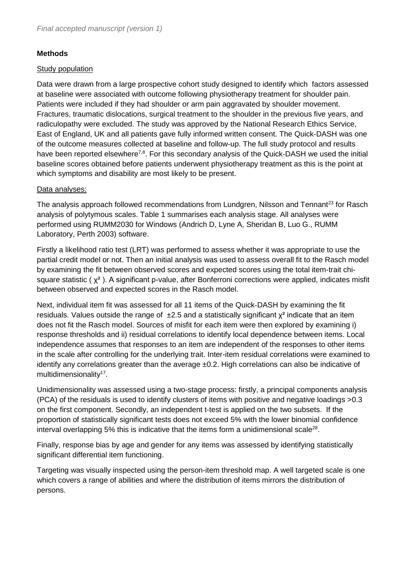# **Methods**

### **Study population**

Data were drawn from a large prospective cohort study designed to identify which factors assessed at baseline were associated with outcome following physiotherapy treatment for shoulder pain. Patients were included if they had shoulder or arm pain aggravated by shoulder movement. Fractures, traumatic dislocations, surgical treatment to the shoulder in the previous five years, and radiculopathy were excluded. The study was approved by the National Research Ethics Service, East of England, UK and all patients gave fully informed written consent. The Quick-DASH was one of the outcome measures collected at baseline and follow-up. The full study protocol and results have been reported elsewhere<sup>7,8</sup>. For this secondary analysis of the Quick-DASH we used the initial baseline scores obtained before patients underwent physiotherapy treatment as this is the point at which symptoms and disability are most likely to be present.

### Data analyses:

The analysis approach followed recommendations from Lundgren, Nilsson and Tennant<sup>23</sup> for Rasch analysis of polytymous scales. Table 1 summarises each analysis stage. All analyses were performed using RUMM2030 for Windows (Andrich D, Lyne A, Sheridan B, Luo G., RUMM Laboratory, Perth 2003) software.

Firstly a likelihood ratio test (LRT) was performed to assess whether it was appropriate to use the partial credit model or not. Then an initial analysis was used to assess overall fit to the Rasch model by examining the fit between observed scores and expected scores using the total item-trait chisquare statistic ( $\chi^2$ ). A significant p-value, after Bonferroni corrections were applied, indicates misfit between observed and expected scores in the Rasch model.

Next, individual item fit was assessed for all 11 items of the Quick-DASH by examining the fit residuals. Values outside the range of  $\pm 2.5$  and a statistically significant  $\chi^2$  indicate that an item does not fit the Rasch model. Sources of misfit for each item were then explored by examining i) response thresholds and ii) residual correlations to identify local dependence between items. Local independence assumes that responses to an item are independent of the responses to other items in the scale after controlling for the underlying trait. Inter-item residual correlations were examined to identify any correlations greater than the average ±0.2. High correlations can also be indicative of multidimensionality<sup>17</sup>.

Unidimensionality was assessed using a two-stage process: firstly, a principal components analysis (PCA) of the residuals is used to identify clusters of items with positive and negative loadings >0.3 on the first component. Secondly, an independent t-test is applied on the two subsets. If the proportion of statistically significant tests does not exceed 5% with the lower binomial confidence interval overlapping 5% this is indicative that the items form a unidimensional scale<sup>28</sup>.

Finally, response bias by age and gender for any items was assessed by identifying statistically significant differential item functioning.

Targeting was visually inspected using the person-item threshold map. A well targeted scale is one which covers a range of abilities and where the distribution of items mirrors the distribution of persons.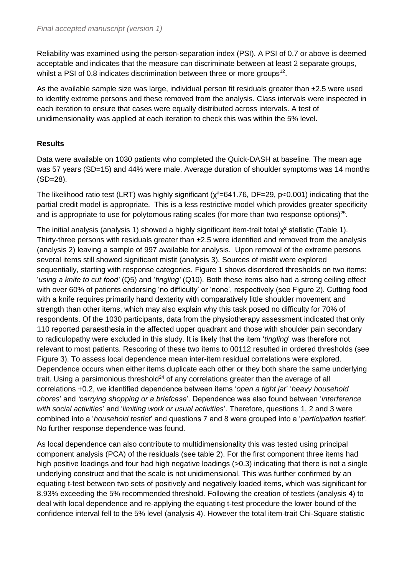Reliability was examined using the person-separation index (PSI). A PSI of 0.7 or above is deemed acceptable and indicates that the measure can discriminate between at least 2 separate groups, whilst a PSI of 0.8 indicates discrimination between three or more groups<sup>12</sup>.

As the available sample size was large, individual person fit residuals greater than  $\pm 2.5$  were used to identify extreme persons and these removed from the analysis. Class intervals were inspected in each iteration to ensure that cases were equally distributed across intervals. A test of unidimensionality was applied at each iteration to check this was within the 5% level.

# **Results**

Data were available on 1030 patients who completed the Quick-DASH at baseline. The mean age was 57 years (SD=15) and 44% were male. Average duration of shoulder symptoms was 14 months (SD=28).

The likelihood ratio test (LRT) was highly significant ( $\chi^2$ =641.76, DF=29, p<0.001) indicating that the partial credit model is appropriate. This is a less restrictive model which provides greater specificity and is appropriate to use for polytomous rating scales (for more than two response options) $^{25}$ .

The initial analysis (analysis 1) showed a highly significant item-trait total  $x^2$  statistic (Table 1). Thirty-three persons with residuals greater than  $\pm 2.5$  were identified and removed from the analysis (analysis 2) leaving a sample of 997 available for analysis. Upon removal of the extreme persons several items still showed significant misfit (analysis 3). Sources of misfit were explored sequentially, starting with response categories. Figure 1 shows disordered thresholds on two items: '*using a knife to cut food'* (Q5) and '*tingling'* (Q10). Both these items also had a strong ceiling effect with over 60% of patients endorsing 'no difficulty' or 'none', respectively (see Figure 2). Cutting food with a knife requires primarily hand dexterity with comparatively little shoulder movement and strength than other items, which may also explain why this task posed no difficulty for 70% of respondents. Of the 1030 participants, data from the physiotherapy assessment indicated that only 110 reported paraesthesia in the affected upper quadrant and those with shoulder pain secondary to radiculopathy were excluded in this study. It is likely that the item '*tingling*' was therefore not relevant to most patients. Rescoring of these two items to 00112 resulted in ordered thresholds (see Figure 3). To assess local dependence mean inter-item residual correlations were explored. Dependence occurs when either items duplicate each other or they both share the same underlying trait. Using a parsimonious threshold<sup>24</sup> of any correlations greater than the average of all correlations +0.2, we identified dependence between items '*open a tight ja*r' '*heavy household chores*' and *'carrying shopping or a briefcase*'. Dependence was also found between '*interference with social activities*' and '*limiting work or usual activities*'. Therefore, questions 1, 2 and 3 were combined into a '*household testlet*' and questions 7 and 8 were grouped into a '*participation testlet'*. No further response dependence was found.

As local dependence can also contribute to multidimensionality this was tested using principal component analysis (PCA) of the residuals (see table 2). For the first component three items had high positive loadings and four had high negative loadings (>0.3) indicating that there is not a single underlying construct and that the scale is not unidimensional. This was further confirmed by an equating t-test between two sets of positively and negatively loaded items, which was significant for 8.93% exceeding the 5% recommended threshold. Following the creation of testlets (analysis 4) to deal with local dependence and re-applying the equating t-test procedure the lower bound of the confidence interval fell to the 5% level (analysis 4). However the total item-trait Chi-Square statistic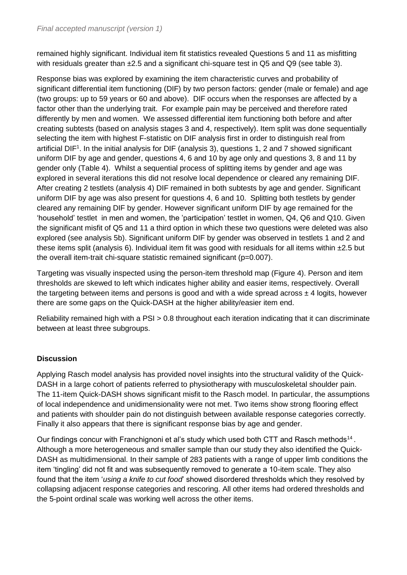remained highly significant. Individual item fit statistics revealed Questions 5 and 11 as misfitting with residuals greater than ±2.5 and a significant chi-square test in Q5 and Q9 (see table 3).

Response bias was explored by examining the item characteristic curves and probability of significant differential item functioning (DIF) by two person factors: gender (male or female) and age (two groups: up to 59 years or 60 and above). DIF occurs when the responses are affected by a factor other than the underlying trait. For example pain may be perceived and therefore rated differently by men and women. We assessed differential item functioning both before and after creating subtests (based on analysis stages 3 and 4, respectively). Item split was done sequentially selecting the item with highest F-statistic on DIF analysis first in order to distinguish real from artificial DIF<sup>1</sup>. In the initial analysis for DIF (analysis 3), questions 1, 2 and 7 showed significant uniform DIF by age and gender, questions 4, 6 and 10 by age only and questions 3, 8 and 11 by gender only (Table 4). Whilst a sequential process of splitting items by gender and age was explored in several iterations this did not resolve local dependence or cleared any remaining DIF. After creating 2 testlets (analysis 4) DIF remained in both subtests by age and gender. Significant uniform DIF by age was also present for questions 4, 6 and 10. Splitting both testlets by gender cleared any remaining DIF by gender. However significant uniform DIF by age remained for the 'household' testlet in men and women, the 'participation' testlet in women, Q4, Q6 and Q10. Given the significant misfit of Q5 and 11 a third option in which these two questions were deleted was also explored (see analysis 5b). Significant uniform DIF by gender was observed in testlets 1 and 2 and these items split (analysis 6). Individual item fit was good with residuals for all items within ±2.5 but the overall item-trait chi-square statistic remained significant (p=0.007).

Targeting was visually inspected using the person-item threshold map (Figure 4). Person and item thresholds are skewed to left which indicates higher ability and easier items, respectively. Overall the targeting between items and persons is good and with a wide spread across  $\pm 4$  logits, however there are some gaps on the Quick-DASH at the higher ability/easier item end.

Reliability remained high with a PSI > 0.8 throughout each iteration indicating that it can discriminate between at least three subgroups.

# **Discussion**

Applying Rasch model analysis has provided novel insights into the structural validity of the Quick-DASH in a large cohort of patients referred to physiotherapy with musculoskeletal shoulder pain. The 11-item Quick-DASH shows significant misfit to the Rasch model. In particular, the assumptions of local independence and unidimensionality were not met. Two items show strong flooring effect and patients with shoulder pain do not distinguish between available response categories correctly. Finally it also appears that there is significant response bias by age and gender.

Our findings concur with Franchignoni et al's study which used both CTT and Rasch methods<sup>14</sup>. Although a more heterogeneous and smaller sample than our study they also identified the Quick-DASH as multidimensional. In their sample of 283 patients with a range of upper limb conditions the item 'tingling' did not fit and was subsequently removed to generate a 10-item scale. They also found that the item '*using a knife to cut food*' showed disordered thresholds which they resolved by collapsing adjacent response categories and rescoring. All other items had ordered thresholds and the 5-point ordinal scale was working well across the other items.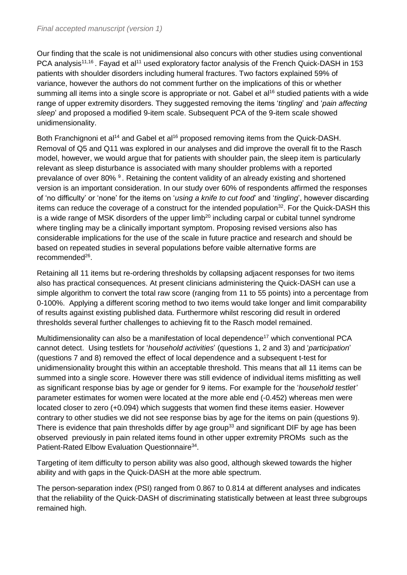Our finding that the scale is not unidimensional also concurs with other studies using conventional PCA analysis<sup>11,16</sup>. Fayad et al<sup>11</sup> used exploratory factor analysis of the French Quick-DASH in 153 patients with shoulder disorders including humeral fractures. Two factors explained 59% of variance, however the authors do not comment further on the implications of this or whether summing all items into a single score is appropriate or not. Gabel et al<sup>16</sup> studied patients with a wide range of upper extremity disorders. They suggested removing the items '*tingling*' and '*pain affecting sleep*' and proposed a modified 9-item scale. Subsequent PCA of the 9-item scale showed unidimensionality.

Both Franchignoni et al<sup>14</sup> and Gabel et al<sup>16</sup> proposed removing items from the Quick-DASH. Removal of Q5 and Q11 was explored in our analyses and did improve the overall fit to the Rasch model, however, we would argue that for patients with shoulder pain, the sleep item is particularly relevant as sleep disturbance is associated with many shoulder problems with a reported prevalance of over 80% <sup>9</sup>. Retaining the content validity of an already existing and shortened version is an important consideration. In our study over 60% of respondents affirmed the responses of 'no difficulty' or 'none' for the items on '*using a knife to cut food*' and '*tingling*', however discarding items can reduce the coverage of a construct for the intended population<sup>32</sup>. For the Quick-DASH this is a wide range of MSK disorders of the upper  $limb<sup>20</sup>$  including carpal or cubital tunnel syndrome where tingling may be a clinically important symptom. Proposing revised versions also has considerable implications for the use of the scale in future practice and research and should be based on repeated studies in several populations before vaible alternative forms are recommended<sup>26</sup>.

Retaining all 11 items but re-ordering thresholds by collapsing adjacent responses for two items also has practical consequences. At present clinicians administering the Quick-DASH can use a simple algorithm to convert the total raw score (ranging from 11 to 55 points) into a percentage from 0-100%. Applying a different scoring method to two items would take longer and limit comparability of results against existing published data. Furthermore whilst rescoring did result in ordered thresholds several further challenges to achieving fit to the Rasch model remained.

Multidimensionality can also be a manifestation of local dependence<sup>17</sup> which conventional PCA cannot detect. Using testlets for '*household activities*' (questions 1, 2 and 3) and '*participation*' (questions 7 and 8) removed the effect of local dependence and a subsequent t-test for unidimensionality brought this within an acceptable threshold. This means that all 11 items can be summed into a single score. However there was still evidence of individual items misfitting as well as significant response bias by age or gender for 9 items. For example for the '*household testlet'* parameter estimates for women were located at the more able end (-0.452) whereas men were located closer to zero (+0.094) which suggests that women find these items easier. However contrary to other studies we did not see response bias by age for the items on pain (questions 9). There is evidence that pain thresholds differ by age group<sup>33</sup> and significant DIF by age has been observed previously in pain related items found in other upper extremity PROMs such as the Patient-Rated Elbow Evaluation Questionnaire<sup>34</sup>.

Targeting of item difficulty to person ability was also good, although skewed towards the higher ability and with gaps in the Quick-DASH at the more able spectrum.

The person-separation index (PSI) ranged from 0.867 to 0.814 at different analyses and indicates that the reliability of the Quick-DASH of discriminating statistically between at least three subgroups remained high.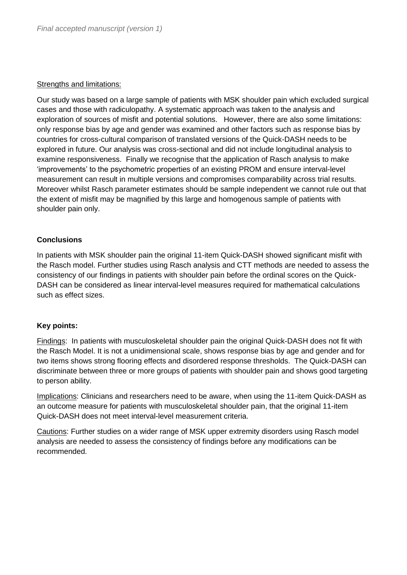#### **Strengths and limitations:**

Our study was based on a large sample of patients with MSK shoulder pain which excluded surgical cases and those with radiculopathy. A systematic approach was taken to the analysis and exploration of sources of misfit and potential solutions. However, there are also some limitations: only response bias by age and gender was examined and other factors such as response bias by countries for cross-cultural comparison of translated versions of the Quick-DASH needs to be explored in future. Our analysis was cross-sectional and did not include longitudinal analysis to examine responsiveness. Finally we recognise that the application of Rasch analysis to make 'improvements' to the psychometric properties of an existing PROM and ensure interval-level measurement can result in multiple versions and compromises comparability across trial results. Moreover whilst Rasch parameter estimates should be sample independent we cannot rule out that the extent of misfit may be magnified by this large and homogenous sample of patients with shoulder pain only.

# **Conclusions**

In patients with MSK shoulder pain the original 11-item Quick-DASH showed significant misfit with the Rasch model. Further studies using Rasch analysis and CTT methods are needed to assess the consistency of our findings in patients with shoulder pain before the ordinal scores on the Quick-DASH can be considered as linear interval-level measures required for mathematical calculations such as effect sizes.

#### **Key points:**

Findings: In patients with musculoskeletal shoulder pain the original Quick-DASH does not fit with the Rasch Model. It is not a unidimensional scale, shows response bias by age and gender and for two items shows strong flooring effects and disordered response thresholds. The Quick-DASH can discriminate between three or more groups of patients with shoulder pain and shows good targeting to person ability.

Implications: Clinicians and researchers need to be aware, when using the 11-item Quick-DASH as an outcome measure for patients with musculoskeletal shoulder pain, that the original 11-item Quick-DASH does not meet interval-level measurement criteria.

Cautions: Further studies on a wider range of MSK upper extremity disorders using Rasch model analysis are needed to assess the consistency of findings before any modifications can be recommended.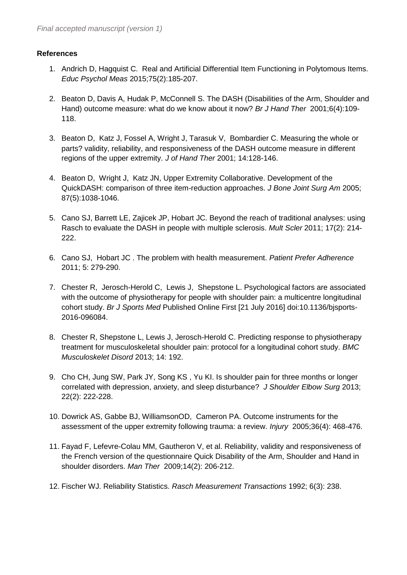## **References**

- 1. Andrich D, Hagquist C. Real and Artificial Differential Item Functioning in Polytomous Items. *Educ Psychol Meas* 2015;75(2):185-207.
- 2. Beaton D, Davis A, Hudak P, McConnell S. The DASH (Disabilities of the Arm, Shoulder and Hand) outcome measure: what do we know about it now? *Br J Hand Ther* 2001;6(4):109- 118.
- 3. Beaton D, Katz J, Fossel A, Wright J, Tarasuk V, Bombardier C. Measuring the whole or parts? validity, reliability, and responsiveness of the DASH outcome measure in different regions of the upper extremity. *J of Hand Ther* 2001; 14:128-146.
- 4. Beaton D, Wright J, Katz JN, Upper Extremity Collaborative. Development of the QuickDASH: comparison of three item-reduction approaches. *J Bone Joint Surg Am* 2005; 87(5):1038-1046.
- 5. Cano SJ, Barrett LE, Zajicek JP, Hobart JC. Beyond the reach of traditional analyses: using Rasch to evaluate the DASH in people with multiple sclerosis. *Mult Scler* 2011; 17(2): 214- 222.
- 6. Cano SJ, Hobart JC . The problem with health measurement. *Patient Prefer Adherence* 2011; 5: 279-290.
- 7. Chester R, Jerosch-Herold C, Lewis J, Shepstone L. Psychological factors are associated with the outcome of physiotherapy for people with shoulder pain: a multicentre longitudinal cohort study. *Br J Sports Med* Published Online First [21 July 2016] doi:10.1136/bjsports-2016-096084.
- 8. Chester R, Shepstone L, Lewis J, Jerosch-Herold C. Predicting response to physiotherapy treatment for musculoskeletal shoulder pain: protocol for a longitudinal cohort study. *BMC Musculoskelet Disord* 2013; 14: 192.
- 9. Cho CH, Jung SW, Park JY, Song KS , Yu KI. Is shoulder pain for three months or longer correlated with depression, anxiety, and sleep disturbance? *J Shoulder Elbow Surg* 2013; 22(2): 222-228.
- 10. Dowrick AS, Gabbe BJ, WilliamsonOD, Cameron PA. Outcome instruments for the assessment of the upper extremity following trauma: a review. *Injury* 2005;36(4): 468-476.
- 11. Fayad F, Lefevre-Colau MM, Gautheron V, et al. Reliability, validity and responsiveness of the French version of the questionnaire Quick Disability of the Arm, Shoulder and Hand in shoulder disorders. *Man Ther* 2009;14(2): 206-212.
- 12. Fischer WJ. Reliability Statistics. *Rasch Measurement Transactions* 1992; 6(3): 238.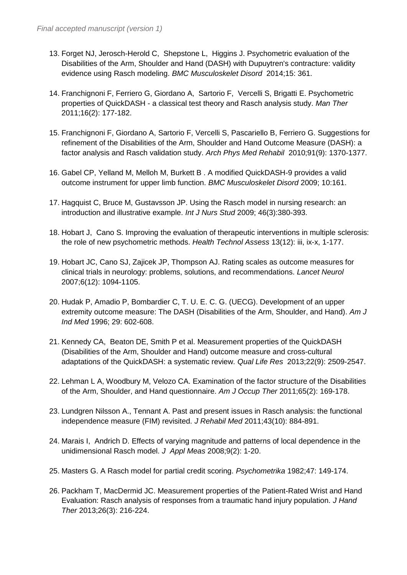- 13. Forget NJ, Jerosch-Herold C, Shepstone L, Higgins J. Psychometric evaluation of the Disabilities of the Arm, Shoulder and Hand (DASH) with Dupuytren's contracture: validity evidence using Rasch modeling. *BMC Musculoskelet Disord* 2014;15: 361.
- 14. Franchignoni F, Ferriero G, Giordano A, Sartorio F, Vercelli S, Brigatti E. Psychometric properties of QuickDASH - a classical test theory and Rasch analysis study. *Man Ther* 2011;16(2): 177-182.
- 15. Franchignoni F, Giordano A, Sartorio F, Vercelli S, Pascariello B, Ferriero G. Suggestions for refinement of the Disabilities of the Arm, Shoulder and Hand Outcome Measure (DASH): a factor analysis and Rasch validation study. *Arch Phys Med Rehabil* 2010;91(9): 1370-1377.
- 16. Gabel CP, Yelland M, Melloh M, Burkett B . A modified QuickDASH-9 provides a valid outcome instrument for upper limb function. *BMC Musculoskelet Disord* 2009; 10:161.
- 17. Hagquist C, Bruce M, Gustavsson JP. Using the Rasch model in nursing research: an introduction and illustrative example. *Int J Nurs Stud* 2009; 46(3):380-393.
- 18. Hobart J, Cano S. Improving the evaluation of therapeutic interventions in multiple sclerosis: the role of new psychometric methods. *Health Technol Assess* 13(12): iii, ix-x, 1-177.
- 19. Hobart JC, Cano SJ, Zajicek JP, Thompson AJ. Rating scales as outcome measures for clinical trials in neurology: problems, solutions, and recommendations. *Lancet Neurol*  2007;6(12): 1094-1105.
- 20. Hudak P, Amadio P, Bombardier C, T. U. E. C. G. (UECG). Development of an upper extremity outcome measure: The DASH (Disabilities of the Arm, Shoulder, and Hand). *Am J Ind Med* 1996; 29: 602-608.
- 21. Kennedy CA, Beaton DE, Smith P et al. Measurement properties of the QuickDASH (Disabilities of the Arm, Shoulder and Hand) outcome measure and cross-cultural adaptations of the QuickDASH: a systematic review. *Qual Life Res* 2013;22(9): 2509-2547.
- 22. Lehman L A, Woodbury M, Velozo CA. Examination of the factor structure of the Disabilities of the Arm, Shoulder, and Hand questionnaire. *Am J Occup Ther* 2011;65(2): 169-178.
- 23. Lundgren Nilsson A., Tennant A. Past and present issues in Rasch analysis: the functional independence measure (FIM) revisited. *J Rehabil Med* 2011;43(10): 884-891.
- 24. Marais I, Andrich D. Effects of varying magnitude and patterns of local dependence in the unidimensional Rasch model. *J Appl Meas* 2008;9(2): 1-20.
- 25. Masters G. A Rasch model for partial credit scoring. *Psychometrika* 1982;47: 149-174.
- 26. Packham T, MacDermid JC. Measurement properties of the Patient-Rated Wrist and Hand Evaluation: Rasch analysis of responses from a traumatic hand injury population. *J Hand Ther* 2013;26(3): 216-224.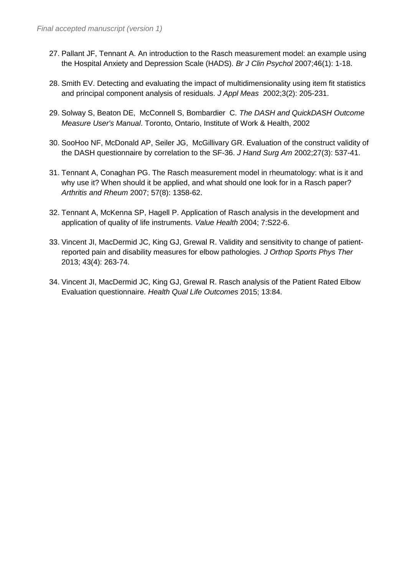- 27. Pallant JF, Tennant A. An introduction to the Rasch measurement model: an example using the Hospital Anxiety and Depression Scale (HADS). *Br J Clin Psychol* 2007;46(1): 1-18.
- 28. Smith EV. Detecting and evaluating the impact of multidimensionality using item fit statistics and principal component analysis of residuals. *J Appl Meas* 2002;3(2): 205-231.
- 29. Solway S, Beaton DE, McConnell S, Bombardier C. *The DASH and QuickDASH Outcome Measure User's Manual*. Toronto, Ontario, Institute of Work & Health, 2002
- 30. SooHoo NF, McDonald AP, Seiler JG, McGillivary GR. Evaluation of the construct validity of the DASH questionnaire by correlation to the SF-36. *J Hand Surg Am* 2002;27(3): 537-41.
- 31. Tennant A, Conaghan PG. The Rasch measurement model in rheumatology: what is it and why use it? When should it be applied, and what should one look for in a Rasch paper? *Arthritis and Rheum* 2007; 57(8): 1358-62.
- 32. Tennant A, McKenna SP, Hagell P. Application of Rasch analysis in the development and application of quality of life instruments. *Value Health* 2004; 7:S22-6.
- 33. Vincent JI, MacDermid JC, King GJ, Grewal R. Validity and sensitivity to change of patientreported pain and disability measures for elbow pathologies. *J Orthop Sports Phys Ther* 2013; 43(4): 263-74.
- 34. Vincent JI, MacDermid JC, King GJ, Grewal R. Rasch analysis of the Patient Rated Elbow Evaluation questionnaire. *Health Qual Life Outcomes* 2015; 13:84.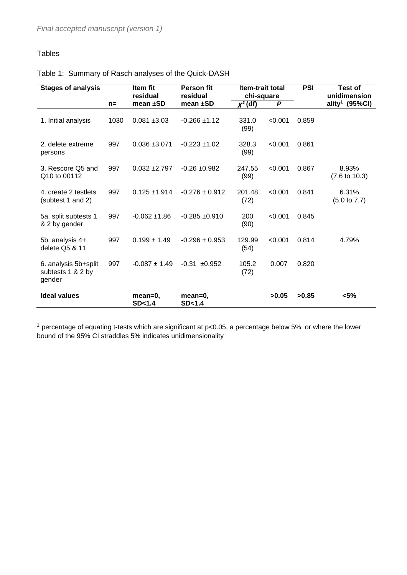# Tables

| <b>Stages of analysis</b>                           |       | Item fit<br>residual | <b>Person fit</b><br>residual | <b>Item-trait total</b><br>chi-square |         | <b>PSI</b> | <b>Test of</b><br>unidimension    |  |
|-----------------------------------------------------|-------|----------------------|-------------------------------|---------------------------------------|---------|------------|-----------------------------------|--|
|                                                     | $n =$ | mean $±SD$           | mean ±SD                      | $x^2$ (df)                            | P       |            | ality <sup>1</sup> (95%Cl)        |  |
| 1. Initial analysis                                 | 1030  | $0.081 + 3.03$       | $-0.266 \pm 1.12$             | 331.0<br>(99)                         | < 0.001 | 0.859      |                                   |  |
| 2. delete extreme<br>persons                        | 997   | $0.036 + 3.071$      | $-0.223 \pm 1.02$             | 328.3<br>(99)                         | < 0.001 | 0.861      |                                   |  |
| 3. Rescore Q5 and<br>Q10 to 00112                   | 997   | $0.032 + 2.797$      | $-0.26 + 0.982$               | 247.55<br>(99)                        | < 0.001 | 0.867      | 8.93%<br>$(7.6 \text{ to } 10.3)$ |  |
| 4. create 2 testlets<br>(subtest 1 and 2)           | 997   | $0.125 \pm 1.914$    | $-0.276 \pm 0.912$            | 201.48<br>(72)                        | < 0.001 | 0.841      | 6.31%<br>$(5.0 \text{ to } 7.7)$  |  |
| 5a. split subtests 1<br>& 2 by gender               | 997   | $-0.062 \pm 1.86$    | $-0.285 + 0.910$              | 200<br>(90)                           | < 0.001 | 0.845      |                                   |  |
| 5b. analysis 4+<br>delete Q5 & 11                   | 997   | $0.199 \pm 1.49$     | $-0.296 \pm 0.953$            | 129.99<br>(54)                        | < 0.001 | 0.814      | 4.79%                             |  |
| 6. analysis 5b+split<br>subtests 1 & 2 by<br>gender | 997   | $-0.087 \pm 1.49$    | $-0.31 + 0.952$               | 105.2<br>(72)                         | 0.007   | 0.820      |                                   |  |
| <b>Ideal values</b>                                 |       | mean=0,<br>SD < 1.4  | mean=0,<br>SD < 1.4           |                                       | >0.05   | >0.85      | $< 5\%$                           |  |

<sup>1</sup> percentage of equating t-tests which are significant at  $p<0.05$ , a percentage below 5% or where the lower bound of the 95% CI straddles 5% indicates unidimensionality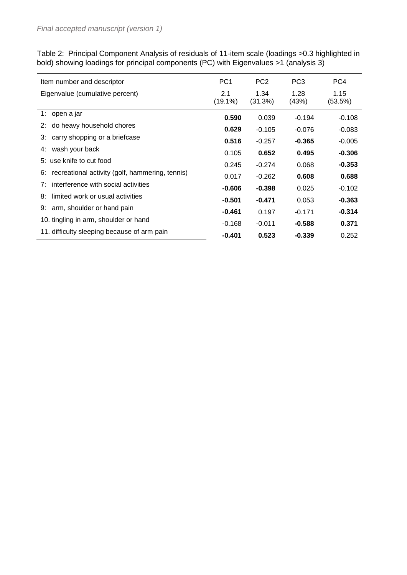Table 2: Principal Component Analysis of residuals of 11-item scale (loadings >0.3 highlighted in bold) showing loadings for principal components (PC) with Eigenvalues >1 (analysis 3)

| Item number and descriptor                            | PC <sub>1</sub>   | PC <sub>2</sub> | PC <sub>3</sub> | PC4             |
|-------------------------------------------------------|-------------------|-----------------|-----------------|-----------------|
| Eigenvalue (cumulative percent)                       | 2.1<br>$(19.1\%)$ | 1.34<br>(31.3%) | 1.28<br>(43%)   | 1.15<br>(53.5%) |
| 1: open a jar                                         | 0.590             | 0.039           | $-0.194$        | $-0.108$        |
| do heavy household chores<br>2:                       | 0.629             | $-0.105$        | $-0.076$        | $-0.083$        |
| carry shopping or a briefcase<br>3:                   | 0.516             | $-0.257$        | $-0.365$        | $-0.005$        |
| wash your back<br>4:                                  | 0.105             | 0.652           | 0.495           | $-0.306$        |
| 5: use knife to cut food                              | 0.245             | $-0.274$        | 0.068           | $-0.353$        |
| recreational activity (golf, hammering, tennis)<br>6: | 0.017             | $-0.262$        | 0.608           | 0.688           |
| interference with social activities<br>7:             | $-0.606$          | $-0.398$        | 0.025           | $-0.102$        |
| limited work or usual activities<br>8:                | $-0.501$          | $-0.471$        | 0.053           | $-0.363$        |
| arm, shoulder or hand pain<br>9:                      | $-0.461$          | 0.197           | $-0.171$        | $-0.314$        |
| 10. tingling in arm, shoulder or hand                 | $-0.168$          | $-0.011$        | $-0.588$        | 0.371           |
| 11. difficulty sleeping because of arm pain           | $-0.401$          | 0.523           | $-0.339$        | 0.252           |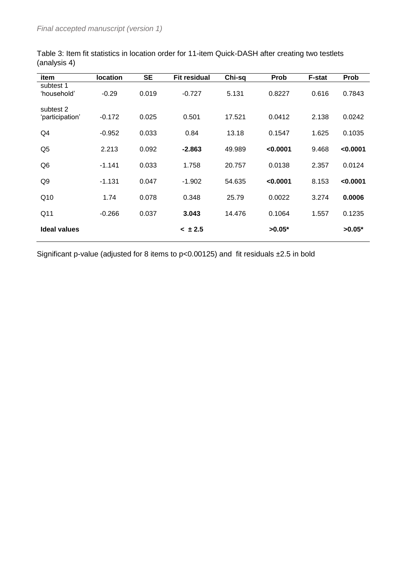| item                         | <b>location</b> | <b>SE</b> | <b>Fit residual</b> | Chi-sq | Prob     | F-stat | Prob     |
|------------------------------|-----------------|-----------|---------------------|--------|----------|--------|----------|
| subtest 1<br>'household'     | $-0.29$         | 0.019     | $-0.727$            | 5.131  | 0.8227   | 0.616  | 0.7843   |
| subtest 2<br>'participation' | $-0.172$        | 0.025     | 0.501               | 17.521 | 0.0412   | 2.138  | 0.0242   |
| Q4                           | $-0.952$        | 0.033     | 0.84                | 13.18  | 0.1547   | 1.625  | 0.1035   |
| Q <sub>5</sub>               | 2.213           | 0.092     | $-2.863$            | 49.989 | < 0.0001 | 9.468  | < 0.0001 |
| Q <sub>6</sub>               | $-1.141$        | 0.033     | 1.758               | 20.757 | 0.0138   | 2.357  | 0.0124   |
| Q9                           | $-1.131$        | 0.047     | $-1.902$            | 54.635 | < 0.0001 | 8.153  | < 0.0001 |
| Q10                          | 1.74            | 0.078     | 0.348               | 25.79  | 0.0022   | 3.274  | 0.0006   |
| Q11                          | $-0.266$        | 0.037     | 3.043               | 14.476 | 0.1064   | 1.557  | 0.1235   |
| Ideal values                 |                 |           | < 1.5               |        | $>0.05*$ |        | $>0.05*$ |

Table 3: Item fit statistics in location order for 11-item Quick-DASH after creating two testlets (analysis 4)

Significant p-value (adjusted for 8 items to p<0.00125) and fit residuals ±2.5 in bold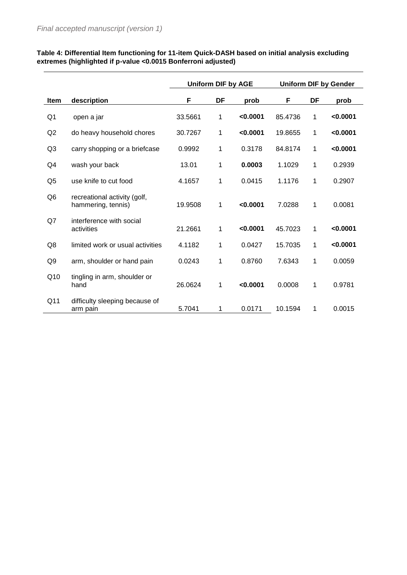|                 |                                                    | <b>Uniform DIF by AGE</b> |    |          | <b>Uniform DIF by Gender</b> |    |          |  |
|-----------------|----------------------------------------------------|---------------------------|----|----------|------------------------------|----|----------|--|
| <b>Item</b>     | description                                        | F                         | DF | prob     | F                            | DF | prob     |  |
| Q1              | open a jar                                         | 33.5661                   | 1  | < 0.0001 | 85.4736                      | 1  | < 0.0001 |  |
| Q2              | do heavy household chores                          | 30.7267                   | 1  | < 0.0001 | 19.8655                      | 1  | < 0.0001 |  |
| Q <sub>3</sub>  | carry shopping or a briefcase                      | 0.9992                    | 1  | 0.3178   | 84.8174                      | 1  | < 0.0001 |  |
| Q4              | wash your back                                     | 13.01                     | 1  | 0.0003   | 1.1029                       | 1  | 0.2939   |  |
| Q <sub>5</sub>  | use knife to cut food                              | 4.1657                    | 1  | 0.0415   | 1.1176                       | 1  | 0.2907   |  |
| Q <sub>6</sub>  | recreational activity (golf,<br>hammering, tennis) | 19.9508                   | 1  | < 0.0001 | 7.0288                       | 1  | 0.0081   |  |
| Q7              | interference with social<br>activities             | 21.2661                   | 1  | < 0.0001 | 45.7023                      | 1  | < 0.0001 |  |
| Q8              | limited work or usual activities                   | 4.1182                    | 1  | 0.0427   | 15.7035                      | 1  | < 0.0001 |  |
| Q <sub>9</sub>  | arm, shoulder or hand pain                         | 0.0243                    | 1  | 0.8760   | 7.6343                       | 1  | 0.0059   |  |
| Q10             | tingling in arm, shoulder or<br>hand               | 26.0624                   | 1  | < 0.0001 | 0.0008                       | 1  | 0.9781   |  |
| Q <sub>11</sub> | difficulty sleeping because of<br>arm pain         | 5.7041                    | 1  | 0.0171   | 10.1594                      | 1  | 0.0015   |  |

#### **Table 4: Differential Item functioning for 11-item Quick-DASH based on initial analysis excluding extremes (highlighted if p-value <0.0015 Bonferroni adjusted)**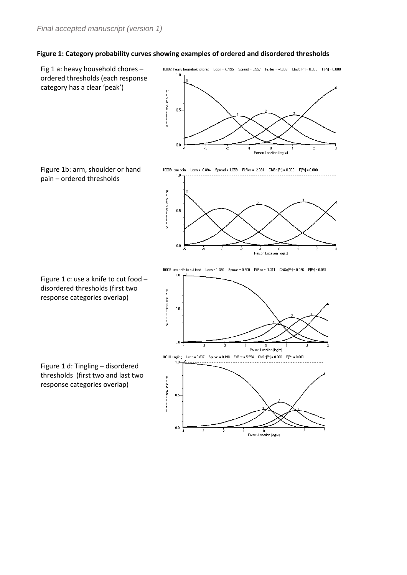#### **Figure 1: Category probability curves showing examples of ordered and disordered thresholds**

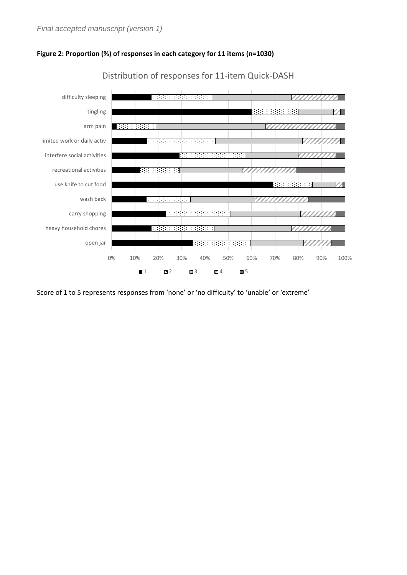



Distribution of responses for 11-item Quick-DASH

Score of 1 to 5 represents responses from 'none' or 'no difficulty' to 'unable' or 'extreme'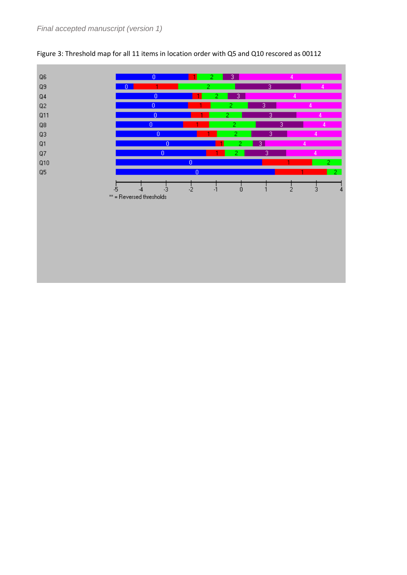

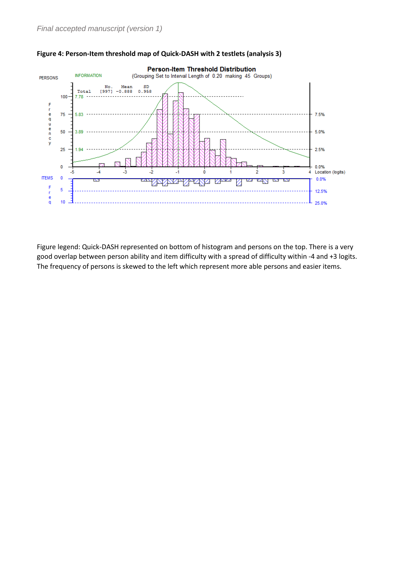

#### **Figure 4: Person-Item threshold map of Quick-DASH with 2 testlets (analysis 3)**

Figure legend: Quick-DASH represented on bottom of histogram and persons on the top. There is a very good overlap between person ability and item difficulty with a spread of difficulty within -4 and +3 logits. The frequency of persons is skewed to the left which represent more able persons and easier items.